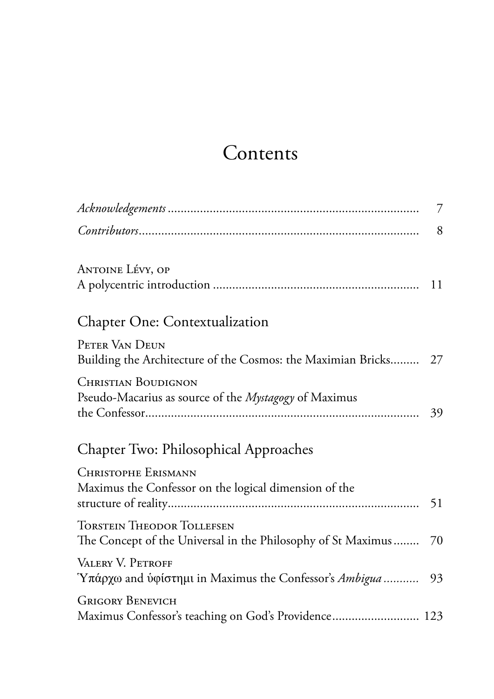## Contents

|                                                                                                        | 7  |
|--------------------------------------------------------------------------------------------------------|----|
| Contributos                                                                                            | 8  |
| ANTOINE LÉVY, OP                                                                                       |    |
| <b>Chapter One: Contextualization</b>                                                                  |    |
| PETER VAN DEUN<br>Building the Architecture of the Cosmos: the Maximian Bricks 27                      |    |
| <b>CHRISTIAN BOUDIGNON</b><br>Pseudo-Macarius as source of the <i>Mystagogy</i> of Maximus             | 39 |
| Chapter Two: Philosophical Approaches                                                                  |    |
| <b>CHRISTOPHE ERISMANN</b><br>Maximus the Confessor on the logical dimension of the                    | 51 |
| <b>TORSTEIN THEODOR TOLLEFSEN</b><br>The Concept of the Universal in the Philosophy of St Maximus      | 70 |
| VALERY V. PETROFF<br>$Y\pi\alpha\rho\chi\omega$ and ύφίστημι in Maximus the Confessor's <i>Ambigua</i> | 93 |
| <b>GRIGORY BENEVICH</b><br>Maximus Confessor's teaching on God's Providence 123                        |    |